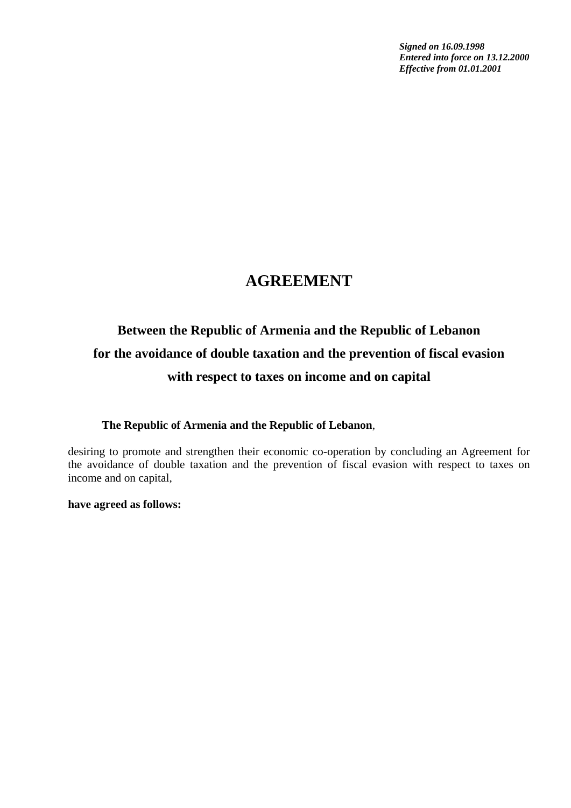*Signed on 16.09.1998 Entered into force on 13.12.2000 Effective from 01.01.2001* 

# **AGREEMENT**

# **Between the Republic of Armenia and the Republic of Lebanon for the avoidance of double taxation and the prevention of fiscal evasion with respect to taxes on income and on capital**

#### **The Republic of Armenia and the Republic of Lebanon**,

desiring to promote and strengthen their economic co-operation by concluding an Agreement for the avoidance of double taxation and the prevention of fiscal evasion with respect to taxes on income and on capital,

**have agreed as follows:**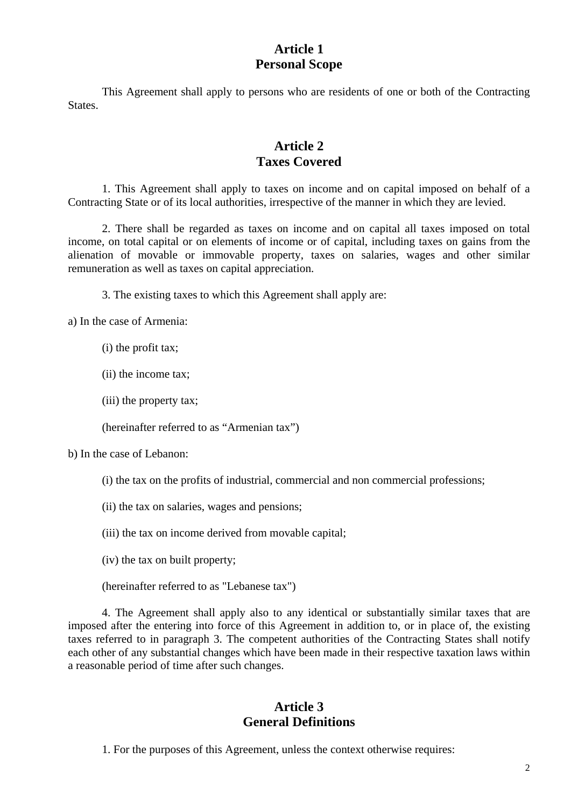## **Article 1 Personal Scope**

This Agreement shall apply to persons who are residents of one or both of the Contracting States.

# **Article 2 Taxes Covered**

1. This Agreement shall apply to taxes on income and on capital imposed on behalf of a Contracting State or of its local authorities, irrespective of the manner in which they are levied.

2. There shall be regarded as taxes on income and on capital all taxes imposed on total income, on total capital or on elements of income or of capital, including taxes on gains from the alienation of movable or immovable property, taxes on salaries, wages and other similar remuneration as well as taxes on capital appreciation.

3. The existing taxes to which this Agreement shall apply are:

a) In the case of Armenia:

(i) the profit tax;

(ii) the income tax;

(iii) the property tax;

(hereinafter referred to as "Armenian tax")

b) In the case of Lebanon:

(i) the tax on the profits of industrial, commercial and non commercial professions;

(ii) the tax on salaries, wages and pensions;

(iii) the tax on income derived from movable capital;

(iv) the tax on built property;

(hereinafter referred to as "Lebanese tax")

 4. The Agreement shall apply also to any identical or substantially similar taxes that are imposed after the entering into force of this Agreement in addition to, or in place of, the existing taxes referred to in paragraph 3. The competent authorities of the Contracting States shall notify each other of any substantial changes which have been made in their respective taxation laws within a reasonable period of time after such changes.

### **Article 3 General Definitions**

1. For the purposes of this Agreement, unless the context otherwise requires: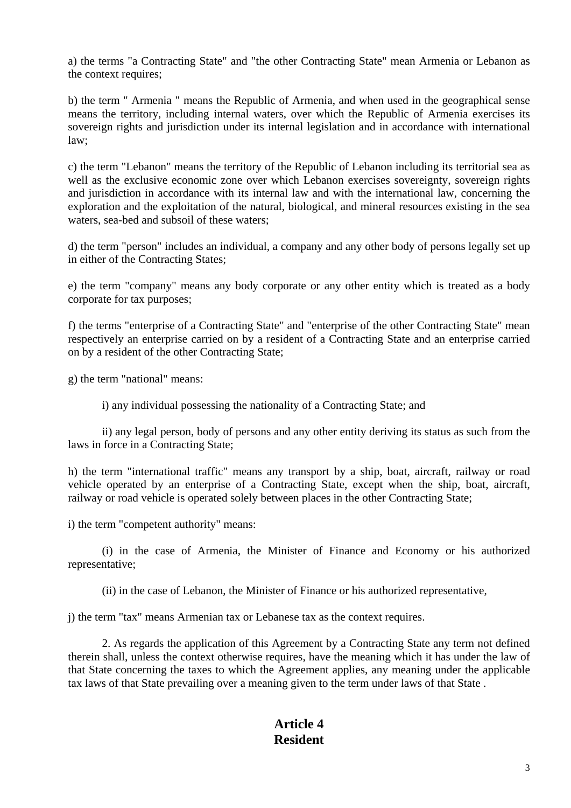a) the terms "a Contracting State" and "the other Contracting State" mean Armenia or Lebanon as the context requires;

b) the term " Armenia " means the Republic of Armenia, and when used in the geographical sense means the territory, including internal waters, over which the Republic of Armenia exercises its sovereign rights and jurisdiction under its internal legislation and in accordance with international law;

c) the term "Lebanon" means the territory of the Republic of Lebanon including its territorial sea as well as the exclusive economic zone over which Lebanon exercises sovereignty, sovereign rights and jurisdiction in accordance with its internal law and with the international law, concerning the exploration and the exploitation of the natural, biological, and mineral resources existing in the sea waters, sea-bed and subsoil of these waters;

d) the term "person" includes an individual, a company and any other body of persons legally set up in either of the Contracting States;

e) the term "company" means any body corporate or any other entity which is treated as a body corporate for tax purposes;

f) the terms "enterprise of a Contracting State" and "enterprise of the other Contracting State" mean respectively an enterprise carried on by a resident of a Contracting State and an enterprise carried on by a resident of the other Contracting State;

g) the term "national" means:

i) any individual possessing the nationality of a Contracting State; and

ii) any legal person, body of persons and any other entity deriving its status as such from the laws in force in a Contracting State;

h) the term "international traffic" means any transport by a ship, boat, aircraft, railway or road vehicle operated by an enterprise of a Contracting State, except when the ship, boat, aircraft, railway or road vehicle is operated solely between places in the other Contracting State;

i) the term "competent authority" means:

(i) in the case of Armenia, the Minister of Finance and Economy or his authorized representative;

(ii) in the case of Lebanon, the Minister of Finance or his authorized representative,

j) the term "tax" means Armenian tax or Lebanese tax as the context requires.

2. As regards the application of this Agreement by a Contracting State any term not defined therein shall, unless the context otherwise requires, have the meaning which it has under the law of that State concerning the taxes to which the Agreement applies, any meaning under the applicable tax laws of that State prevailing over a meaning given to the term under laws of that State .

# **Article 4 Resident**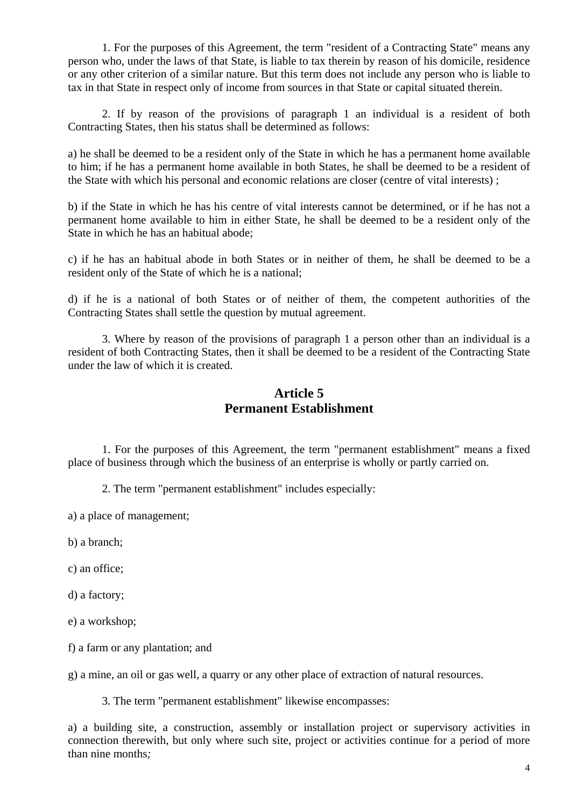1. For the purposes of this Agreement, the term "resident of a Contracting State" means any person who, under the laws of that State, is liable to tax therein by reason of his domicile, residence or any other criterion of a similar nature. But this term does not include any person who is liable to tax in that State in respect only of income from sources in that State or capital situated therein.

2. If by reason of the provisions of paragraph 1 an individual is a resident of both Contracting States, then his status shall be determined as follows:

a) he shall be deemed to be a resident only of the State in which he has a permanent home available to him; if he has a permanent home available in both States, he shall be deemed to be a resident of the State with which his personal and economic relations are closer (centre of vital interests) ;

b) if the State in which he has his centre of vital interests cannot be determined, or if he has not a permanent home available to him in either State, he shall be deemed to be a resident only of the State in which he has an habitual abode;

c) if he has an habitual abode in both States or in neither of them, he shall be deemed to be a resident only of the State of which he is a national;

d) if he is a national of both States or of neither of them, the competent authorities of the Contracting States shall settle the question by mutual agreement.

3. Where by reason of the provisions of paragraph 1 a person other than an individual is a resident of both Contracting States, then it shall be deemed to be a resident of the Contracting State under the law of which it is created.

# **Article 5 Permanent Establishment**

1. For the purposes of this Agreement, the term "permanent establishment" means a fixed place of business through which the business of an enterprise is wholly or partly carried on.

2. The term "permanent establishment" includes especially:

a) a place of management;

b) a branch;

c) an office;

d) a factory;

e) a workshop;

f) a farm or any plantation; and

g) a mine, an oil or gas well, a quarry or any other place of extraction of natural resources.

3. The term "permanent establishment" likewise encompasses:

a) a building site, a construction, assembly or installation project or supervisory activities in connection therewith, but only where such site, project or activities continue for a period of more than nine months*;*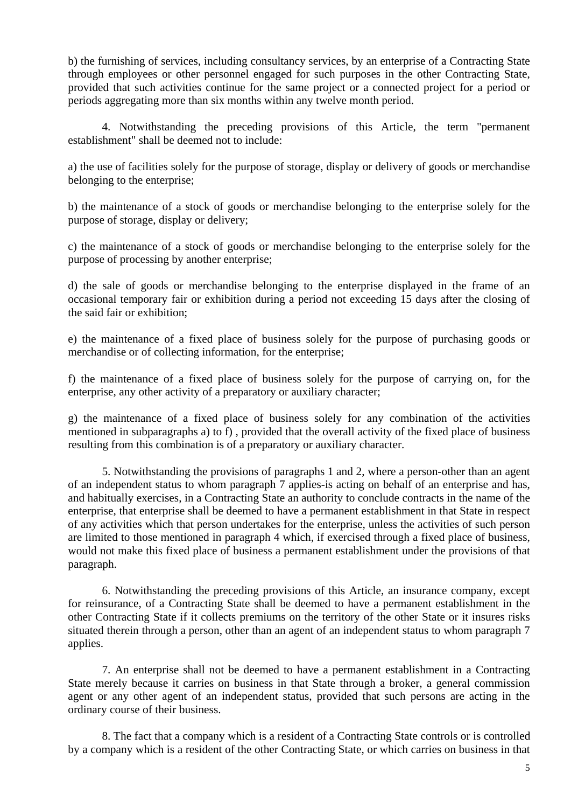b) the furnishing of services, including consultancy services, by an enterprise of a Contracting State through employees or other personnel engaged for such purposes in the other Contracting State, provided that such activities continue for the same project or a connected project for a period or periods aggregating more than six months within any twelve month period.

4. Notwithstanding the preceding provisions of this Article, the term "permanent establishment" shall be deemed not to include:

a) the use of facilities solely for the purpose of storage, display or delivery of goods or merchandise belonging to the enterprise;

b) the maintenance of a stock of goods or merchandise belonging to the enterprise solely for the purpose of storage, display or delivery;

c) the maintenance of a stock of goods or merchandise belonging to the enterprise solely for the purpose of processing by another enterprise;

d) the sale of goods or merchandise belonging to the enterprise displayed in the frame of an occasional temporary fair or exhibition during a period not exceeding 15 days after the closing of the said fair or exhibition;

e) the maintenance of a fixed place of business solely for the purpose of purchasing goods or merchandise or of collecting information, for the enterprise;

f) the maintenance of a fixed place of business solely for the purpose of carrying on, for the enterprise, any other activity of a preparatory or auxiliary character;

g) the maintenance of a fixed place of business solely for any combination of the activities mentioned in subparagraphs a) to f) , provided that the overall activity of the fixed place of business resulting from this combination is of a preparatory or auxiliary character.

5. Notwithstanding the provisions of paragraphs 1 and 2, where a person-other than an agent of an independent status to whom paragraph 7 applies-is acting on behalf of an enterprise and has, and habitually exercises, in a Contracting State an authority to conclude contracts in the name of the enterprise, that enterprise shall be deemed to have a permanent establishment in that State in respect of any activities which that person undertakes for the enterprise, unless the activities of such person are limited to those mentioned in paragraph 4 which, if exercised through a fixed place of business, would not make this fixed place of business a permanent establishment under the provisions of that paragraph.

6. Notwithstanding the preceding provisions of this Article, an insurance company, except for reinsurance, of a Contracting State shall be deemed to have a permanent establishment in the other Contracting State if it collects premiums on the territory of the other State or it insures risks situated therein through a person, other than an agent of an independent status to whom paragraph 7 applies.

7. An enterprise shall not be deemed to have a permanent establishment in a Contracting State merely because it carries on business in that State through a broker, a general commission agent or any other agent of an independent status, provided that such persons are acting in the ordinary course of their business.

8. The fact that a company which is a resident of a Contracting State controls or is controlled by a company which is a resident of the other Contracting State, or which carries on business in that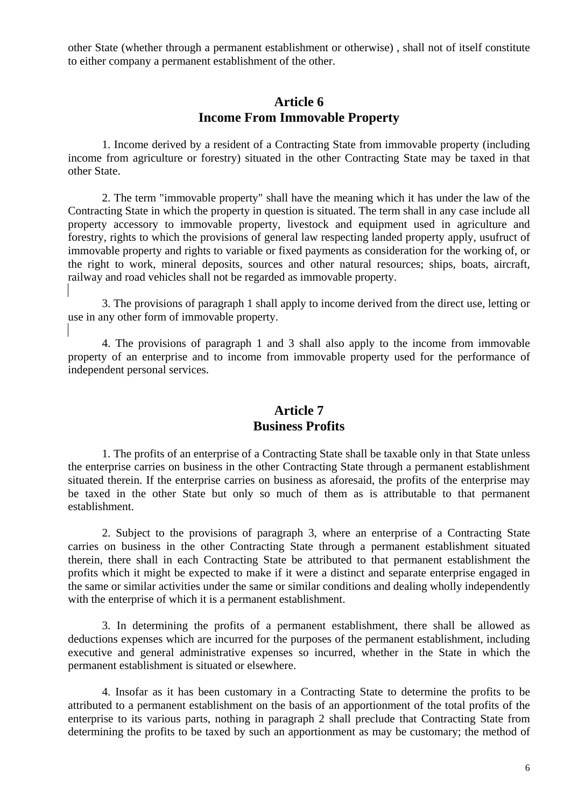other State (whether through a permanent establishment or otherwise) , shall not of itself constitute to either company a permanent establishment of the other.

### **Article 6 Income From Immovable Property**

1. Income derived by a resident of a Contracting State from immovable property (including income from agriculture or forestry) situated in the other Contracting State may be taxed in that other State.

2. The term "immovable property" shall have the meaning which it has under the law of the Contracting State in which the property in question is situated. The term shall in any case include all property accessory to immovable property, livestock and equipment used in agriculture and forestry, rights to which the provisions of general law respecting landed property apply, usufruct of immovable property and rights to variable or fixed payments as consideration for the working of, or the right to work, mineral deposits, sources and other natural resources; ships, boats, aircraft, railway and road vehicles shall not be regarded as immovable property.

3. The provisions of paragraph 1 shall apply to income derived from the direct use, letting or use in any other form of immovable property.

4. The provisions of paragraph 1 and 3 shall also apply to the income from immovable property of an enterprise and to income from immovable property used for the performance of independent personal services.

#### **Article 7 Business Profits**

1. The profits of an enterprise of a Contracting State shall be taxable only in that State unless the enterprise carries on business in the other Contracting State through a permanent establishment situated therein. If the enterprise carries on business as aforesaid, the profits of the enterprise may be taxed in the other State but only so much of them as is attributable to that permanent establishment.

2. Subject to the provisions of paragraph 3, where an enterprise of a Contracting State carries on business in the other Contracting State through a permanent establishment situated therein, there shall in each Contracting State be attributed to that permanent establishment the profits which it might be expected to make if it were a distinct and separate enterprise engaged in the same or similar activities under the same or similar conditions and dealing wholly independently with the enterprise of which it is a permanent establishment.

3. In determining the profits of a permanent establishment, there shall be allowed as deductions expenses which are incurred for the purposes of the permanent establishment, including executive and general administrative expenses so incurred, whether in the State in which the permanent establishment is situated or elsewhere.

4. Insofar as it has been customary in a Contracting State to determine the profits to be attributed to a permanent establishment on the basis of an apportionment of the total profits of the enterprise to its various parts, nothing in paragraph 2 shall preclude that Contracting State from determining the profits to be taxed by such an apportionment as may be customary; the method of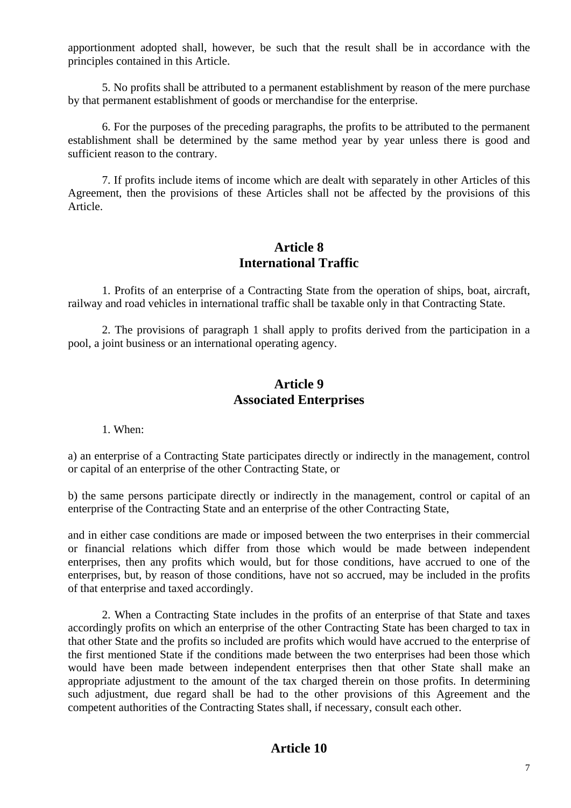apportionment adopted shall, however, be such that the result shall be in accordance with the principles contained in this Article.

5. No profits shall be attributed to a permanent establishment by reason of the mere purchase by that permanent establishment of goods or merchandise for the enterprise.

6. For the purposes of the preceding paragraphs, the profits to be attributed to the permanent establishment shall be determined by the same method year by year unless there is good and sufficient reason to the contrary.

7. If profits include items of income which are dealt with separately in other Articles of this Agreement, then the provisions of these Articles shall not be affected by the provisions of this Article.

# **Article 8 International Traffic**

1. Profits of an enterprise of a Contracting State from the operation of ships, boat, aircraft, railway and road vehicles in international traffic shall be taxable only in that Contracting State.

2. The provisions of paragraph 1 shall apply to profits derived from the participation in a pool, a joint business or an international operating agency.

# **Article 9 Associated Enterprises**

1. When:

a) an enterprise of a Contracting State participates directly or indirectly in the management, control or capital of an enterprise of the other Contracting State, or

b) the same persons participate directly or indirectly in the management, control or capital of an enterprise of the Contracting State and an enterprise of the other Contracting State,

and in either case conditions are made or imposed between the two enterprises in their commercial or financial relations which differ from those which would be made between independent enterprises, then any profits which would, but for those conditions, have accrued to one of the enterprises, but, by reason of those conditions, have not so accrued, may be included in the profits of that enterprise and taxed accordingly.

2. When a Contracting State includes in the profits of an enterprise of that State and taxes accordingly profits on which an enterprise of the other Contracting State has been charged to tax in that other State and the profits so included are profits which would have accrued to the enterprise of the first mentioned State if the conditions made between the two enterprises had been those which would have been made between independent enterprises then that other State shall make an appropriate adjustment to the amount of the tax charged therein on those profits. In determining such adjustment, due regard shall be had to the other provisions of this Agreement and the competent authorities of the Contracting States shall, if necessary, consult each other.

### **Article 10**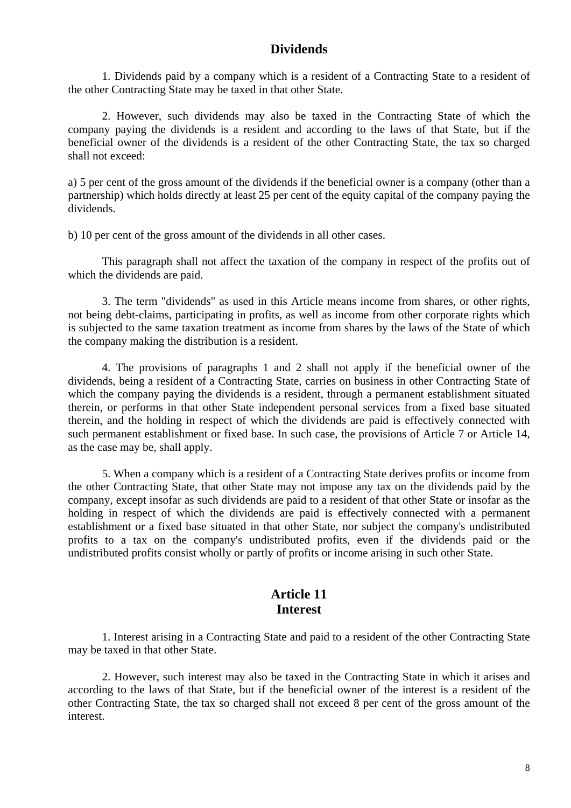#### **Dividends**

1. Dividends paid by a company which is a resident of a Contracting State to a resident of the other Contracting State may be taxed in that other State.

2. However, such dividends may also be taxed in the Contracting State of which the company paying the dividends is a resident and according to the laws of that State, but if the beneficial owner of the dividends is a resident of the other Contracting State, the tax so charged shall not exceed:

a) 5 per cent of the gross amount of the dividends if the beneficial owner is a company (other than a partnership) which holds directly at least 25 per cent of the equity capital of the company paying the dividends.

b) 10 per cent of the gross amount of the dividends in all other cases.

This paragraph shall not affect the taxation of the company in respect of the profits out of which the dividends are paid.

3. The term "dividends" as used in this Article means income from shares, or other rights, not being debt-claims, participating in profits, as well as income from other corporate rights which is subjected to the same taxation treatment as income from shares by the laws of the State of which the company making the distribution is a resident.

4. The provisions of paragraphs 1 and 2 shall not apply if the beneficial owner of the dividends, being a resident of a Contracting State, carries on business in other Contracting State of which the company paying the dividends is a resident, through a permanent establishment situated therein, or performs in that other State independent personal services from a fixed base situated therein, and the holding in respect of which the dividends are paid is effectively connected with such permanent establishment or fixed base. In such case, the provisions of Article 7 or Article 14, as the case may be, shall apply.

5. When a company which is a resident of a Contracting State derives profits or income from the other Contracting State, that other State may not impose any tax on the dividends paid by the company, except insofar as such dividends are paid to a resident of that other State or insofar as the holding in respect of which the dividends are paid is effectively connected with a permanent establishment or a fixed base situated in that other State, nor subject the company's undistributed profits to a tax on the company's undistributed profits, even if the dividends paid or the undistributed profits consist wholly or partly of profits or income arising in such other State.

#### **Article 11 Interest**

1. Interest arising in a Contracting State and paid to a resident of the other Contracting State may be taxed in that other State.

2. However, such interest may also be taxed in the Contracting State in which it arises and according to the laws of that State, but if the beneficial owner of the interest is a resident of the other Contracting State, the tax so charged shall not exceed 8 per cent of the gross amount of the interest.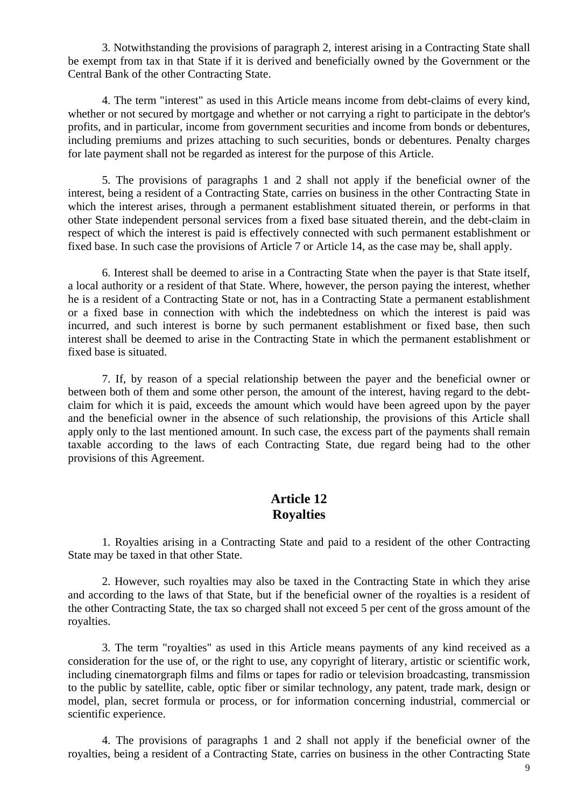3. Notwithstanding the provisions of paragraph 2, interest arising in a Contracting State shall be exempt from tax in that State if it is derived and beneficially owned by the Government or the Central Bank of the other Contracting State.

4. The term "interest" as used in this Article means income from debt-claims of every kind, whether or not secured by mortgage and whether or not carrying a right to participate in the debtor's profits, and in particular, income from government securities and income from bonds or debentures, including premiums and prizes attaching to such securities, bonds or debentures. Penalty charges for late payment shall not be regarded as interest for the purpose of this Article.

5. The provisions of paragraphs 1 and 2 shall not apply if the beneficial owner of the interest, being a resident of a Contracting State, carries on business in the other Contracting State in which the interest arises, through a permanent establishment situated therein, or performs in that other State independent personal services from a fixed base situated therein, and the debt-claim in respect of which the interest is paid is effectively connected with such permanent establishment or fixed base. In such case the provisions of Article 7 or Article 14, as the case may be, shall apply.

6. Interest shall be deemed to arise in a Contracting State when the payer is that State itself, a local authority or a resident of that State. Where, however, the person paying the interest, whether he is a resident of a Contracting State or not, has in a Contracting State a permanent establishment or a fixed base in connection with which the indebtedness on which the interest is paid was incurred, and such interest is borne by such permanent establishment or fixed base, then such interest shall be deemed to arise in the Contracting State in which the permanent establishment or fixed base is situated.

7. If, by reason of a special relationship between the payer and the beneficial owner or between both of them and some other person, the amount of the interest, having regard to the debtclaim for which it is paid, exceeds the amount which would have been agreed upon by the payer and the beneficial owner in the absence of such relationship, the provisions of this Article shall apply only to the last mentioned amount. In such case, the excess part of the payments shall remain taxable according to the laws of each Contracting State, due regard being had to the other provisions of this Agreement.

#### **Article 12 Royalties**

1. Royalties arising in a Contracting State and paid to a resident of the other Contracting State may be taxed in that other State.

2. However, such royalties may also be taxed in the Contracting State in which they arise and according to the laws of that State, but if the beneficial owner of the royalties is a resident of the other Contracting State, the tax so charged shall not exceed 5 per cent of the gross amount of the royalties.

3. The term "royalties" as used in this Article means payments of any kind received as a consideration for the use of, or the right to use, any copyright of literary, artistic or scientific work, including cinematorgraph films and films or tapes for radio or television broadcasting, transmission to the public by satellite, cable, optic fiber or similar technology, any patent, trade mark, design or model, plan, secret formula or process, or for information concerning industrial, commercial or scientific experience.

4. The provisions of paragraphs 1 and 2 shall not apply if the beneficial owner of the royalties, being a resident of a Contracting State, carries on business in the other Contracting State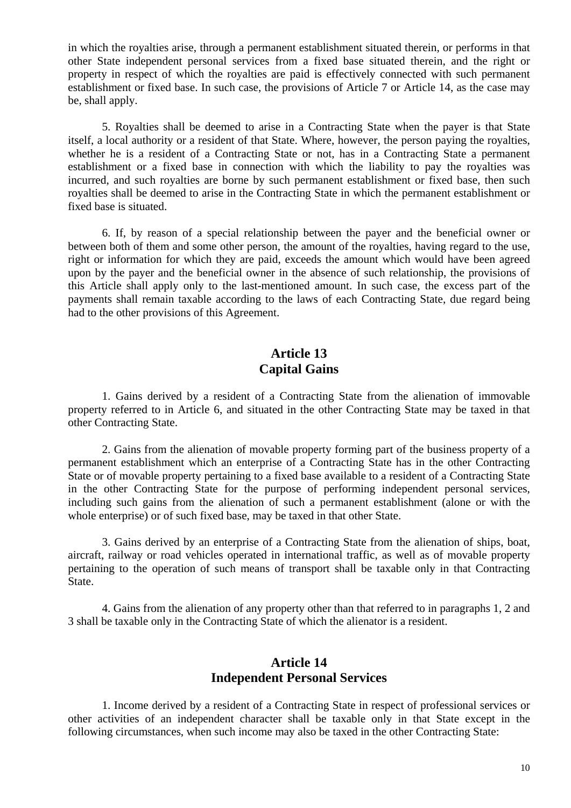in which the royalties arise, through a permanent establishment situated therein, or performs in that other State independent personal services from a fixed base situated therein, and the right or property in respect of which the royalties are paid is effectively connected with such permanent establishment or fixed base. In such case, the provisions of Article 7 or Article 14, as the case may be, shall apply.

5. Royalties shall be deemed to arise in a Contracting State when the payer is that State itself, a local authority or a resident of that State. Where, however, the person paying the royalties, whether he is a resident of a Contracting State or not, has in a Contracting State a permanent establishment or a fixed base in connection with which the liability to pay the royalties was incurred, and such royalties are borne by such permanent establishment or fixed base, then such royalties shall be deemed to arise in the Contracting State in which the permanent establishment or fixed base is situated.

6. If, by reason of a special relationship between the payer and the beneficial owner or between both of them and some other person, the amount of the royalties, having regard to the use, right or information for which they are paid, exceeds the amount which would have been agreed upon by the payer and the beneficial owner in the absence of such relationship, the provisions of this Article shall apply only to the last-mentioned amount. In such case, the excess part of the payments shall remain taxable according to the laws of each Contracting State, due regard being had to the other provisions of this Agreement.

### **Article 13 Capital Gains**

1. Gains derived by a resident of a Contracting State from the alienation of immovable property referred to in Article 6, and situated in the other Contracting State may be taxed in that other Contracting State.

2. Gains from the alienation of movable property forming part of the business property of a permanent establishment which an enterprise of a Contracting State has in the other Contracting State or of movable property pertaining to a fixed base available to a resident of a Contracting State in the other Contracting State for the purpose of performing independent personal services, including such gains from the alienation of such a permanent establishment (alone or with the whole enterprise) or of such fixed base, may be taxed in that other State.

3. Gains derived by an enterprise of a Contracting State from the alienation of ships, boat, aircraft, railway or road vehicles operated in international traffic, as well as of movable property pertaining to the operation of such means of transport shall be taxable only in that Contracting State.

4. Gains from the alienation of any property other than that referred to in paragraphs 1, 2 and 3 shall be taxable only in the Contracting State of which the alienator is a resident.

## **Article 14 Independent Personal Services**

1. Income derived by a resident of a Contracting State in respect of professional services or other activities of an independent character shall be taxable only in that State except in the following circumstances, when such income may also be taxed in the other Contracting State: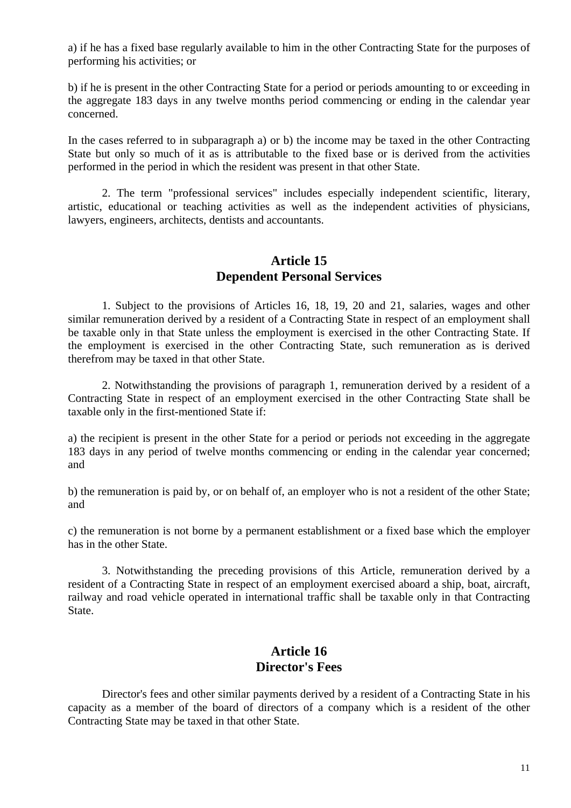a) if he has a fixed base regularly available to him in the other Contracting State for the purposes of performing his activities; or

b) if he is present in the other Contracting State for a period or periods amounting to or exceeding in the aggregate 183 days in any twelve months period commencing or ending in the calendar year concerned.

In the cases referred to in subparagraph a) or b) the income may be taxed in the other Contracting State but only so much of it as is attributable to the fixed base or is derived from the activities performed in the period in which the resident was present in that other State.

2. The term "professional services" includes especially independent scientific, literary, artistic, educational or teaching activities as well as the independent activities of physicians, lawyers, engineers, architects, dentists and accountants.

## **Article 15 Dependent Personal Services**

1. Subject to the provisions of Articles 16, 18, 19, 20 and 21, salaries, wages and other similar remuneration derived by a resident of a Contracting State in respect of an employment shall be taxable only in that State unless the employment is exercised in the other Contracting State. If the employment is exercised in the other Contracting State, such remuneration as is derived therefrom may be taxed in that other State.

2. Notwithstanding the provisions of paragraph 1, remuneration derived by a resident of a Contracting State in respect of an employment exercised in the other Contracting State shall be taxable only in the first-mentioned State if:

a) the recipient is present in the other State for a period or periods not exceeding in the aggregate 183 days in any period of twelve months commencing or ending in the calendar year concerned; and

b) the remuneration is paid by, or on behalf of, an employer who is not a resident of the other State; and

c) the remuneration is not borne by a permanent establishment or a fixed base which the employer has in the other State.

3. Notwithstanding the preceding provisions of this Article, remuneration derived by a resident of a Contracting State in respect of an employment exercised aboard a ship, boat, aircraft, railway and road vehicle operated in international traffic shall be taxable only in that Contracting State.

### **Article 16 Director's Fees**

Director's fees and other similar payments derived by a resident of a Contracting State in his capacity as a member of the board of directors of a company which is a resident of the other Contracting State may be taxed in that other State.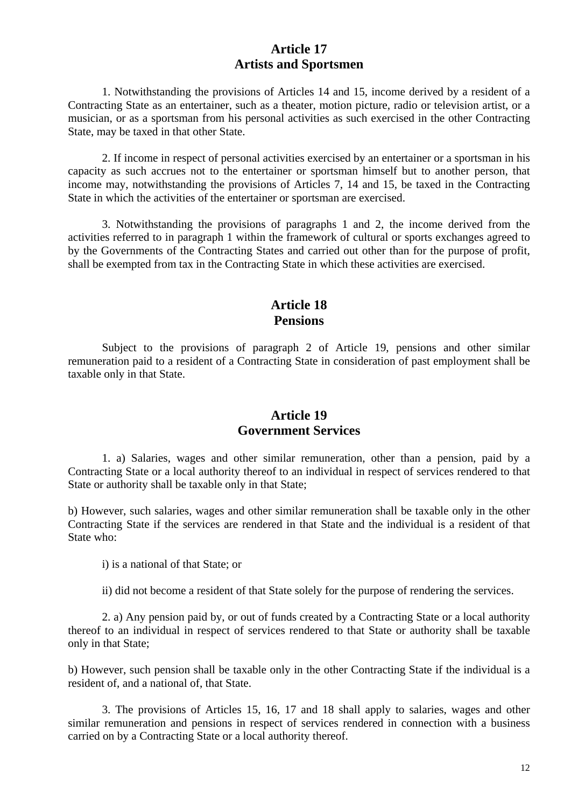### **Article 17 Artists and Sportsmen**

1. Notwithstanding the provisions of Articles 14 and 15, income derived by a resident of a Contracting State as an entertainer, such as a theater, motion picture, radio or television artist, or a musician, or as a sportsman from his personal activities as such exercised in the other Contracting State, may be taxed in that other State.

2. If income in respect of personal activities exercised by an entertainer or a sportsman in his capacity as such accrues not to the entertainer or sportsman himself but to another person, that income may, notwithstanding the provisions of Articles 7, 14 and 15, be taxed in the Contracting State in which the activities of the entertainer or sportsman are exercised.

3. Notwithstanding the provisions of paragraphs 1 and 2, the income derived from the activities referred to in paragraph 1 within the framework of cultural or sports exchanges agreed to by the Governments of the Contracting States and carried out other than for the purpose of profit, shall be exempted from tax in the Contracting State in which these activities are exercised.

## **Article 18 Pensions**

Subject to the provisions of paragraph 2 of Article 19, pensions and other similar remuneration paid to a resident of a Contracting State in consideration of past employment shall be taxable only in that State.

## **Article 19 Government Services**

1. a) Salaries, wages and other similar remuneration, other than a pension, paid by a Contracting State or a local authority thereof to an individual in respect of services rendered to that State or authority shall be taxable only in that State;

b) However, such salaries, wages and other similar remuneration shall be taxable only in the other Contracting State if the services are rendered in that State and the individual is a resident of that State who:

i) is a national of that State; or

ii) did not become a resident of that State solely for the purpose of rendering the services.

2. a) Any pension paid by, or out of funds created by a Contracting State or a local authority thereof to an individual in respect of services rendered to that State or authority shall be taxable only in that State;

b) However, such pension shall be taxable only in the other Contracting State if the individual is a resident of, and a national of, that State.

3. The provisions of Articles 15, 16, 17 and 18 shall apply to salaries, wages and other similar remuneration and pensions in respect of services rendered in connection with a business carried on by a Contracting State or a local authority thereof.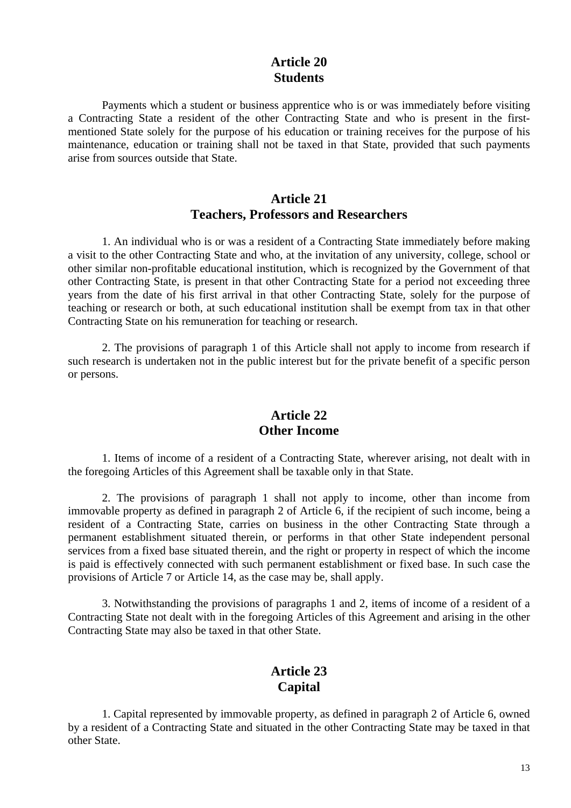#### **Article 20 Students**

Payments which a student or business apprentice who is or was immediately before visiting a Contracting State a resident of the other Contracting State and who is present in the firstmentioned State solely for the purpose of his education or training receives for the purpose of his maintenance, education or training shall not be taxed in that State, provided that such payments arise from sources outside that State.

### **Article 21 Teachers, Professors and Researchers**

1. An individual who is or was a resident of a Contracting State immediately before making a visit to the other Contracting State and who, at the invitation of any university, college, school or other similar non-profitable educational institution, which is recognized by the Government of that other Contracting State, is present in that other Contracting State for a period not exceeding three years from the date of his first arrival in that other Contracting State, solely for the purpose of teaching or research or both, at such educational institution shall be exempt from tax in that other Contracting State on his remuneration for teaching or research.

2. The provisions of paragraph 1 of this Article shall not apply to income from research if such research is undertaken not in the public interest but for the private benefit of a specific person or persons.

## **Article 22 Other Income**

1. Items of income of a resident of a Contracting State, wherever arising, not dealt with in the foregoing Articles of this Agreement shall be taxable only in that State.

2. The provisions of paragraph 1 shall not apply to income, other than income from immovable property as defined in paragraph 2 of Article 6, if the recipient of such income, being a resident of a Contracting State, carries on business in the other Contracting State through a permanent establishment situated therein, or performs in that other State independent personal services from a fixed base situated therein, and the right or property in respect of which the income is paid is effectively connected with such permanent establishment or fixed base. In such case the provisions of Article 7 or Article 14, as the case may be, shall apply.

3. Notwithstanding the provisions of paragraphs 1 and 2, items of income of a resident of a Contracting State not dealt with in the foregoing Articles of this Agreement and arising in the other Contracting State may also be taxed in that other State.

## **Article 23 Capital**

1. Capital represented by immovable property, as defined in paragraph 2 of Article 6, owned by a resident of a Contracting State and situated in the other Contracting State may be taxed in that other State.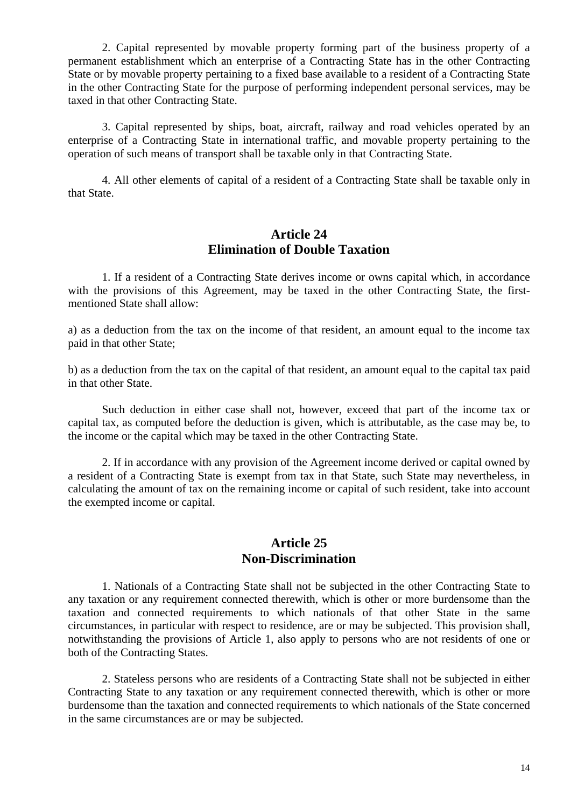2. Capital represented by movable property forming part of the business property of a permanent establishment which an enterprise of a Contracting State has in the other Contracting State or by movable property pertaining to a fixed base available to a resident of a Contracting State in the other Contracting State for the purpose of performing independent personal services, may be taxed in that other Contracting State.

3. Capital represented by ships, boat, aircraft, railway and road vehicles operated by an enterprise of a Contracting State in international traffic, and movable property pertaining to the operation of such means of transport shall be taxable only in that Contracting State.

4. All other elements of capital of a resident of a Contracting State shall be taxable only in that State.

### **Article 24 Elimination of Double Taxation**

1. If a resident of a Contracting State derives income or owns capital which, in accordance with the provisions of this Agreement, may be taxed in the other Contracting State, the firstmentioned State shall allow:

a) as a deduction from the tax on the income of that resident, an amount equal to the income tax paid in that other State;

b) as a deduction from the tax on the capital of that resident, an amount equal to the capital tax paid in that other State.

Such deduction in either case shall not, however, exceed that part of the income tax or capital tax, as computed before the deduction is given, which is attributable, as the case may be, to the income or the capital which may be taxed in the other Contracting State.

2. If in accordance with any provision of the Agreement income derived or capital owned by a resident of a Contracting State is exempt from tax in that State, such State may nevertheless, in calculating the amount of tax on the remaining income or capital of such resident, take into account the exempted income or capital.

### **Article 25 Non-Discrimination**

1. Nationals of a Contracting State shall not be subjected in the other Contracting State to any taxation or any requirement connected therewith, which is other or more burdensome than the taxation and connected requirements to which nationals of that other State in the same circumstances, in particular with respect to residence, are or may be subjected. This provision shall, notwithstanding the provisions of Article 1, also apply to persons who are not residents of one or both of the Contracting States.

2. Stateless persons who are residents of a Contracting State shall not be subjected in either Contracting State to any taxation or any requirement connected therewith, which is other or more burdensome than the taxation and connected requirements to which nationals of the State concerned in the same circumstances are or may be subjected.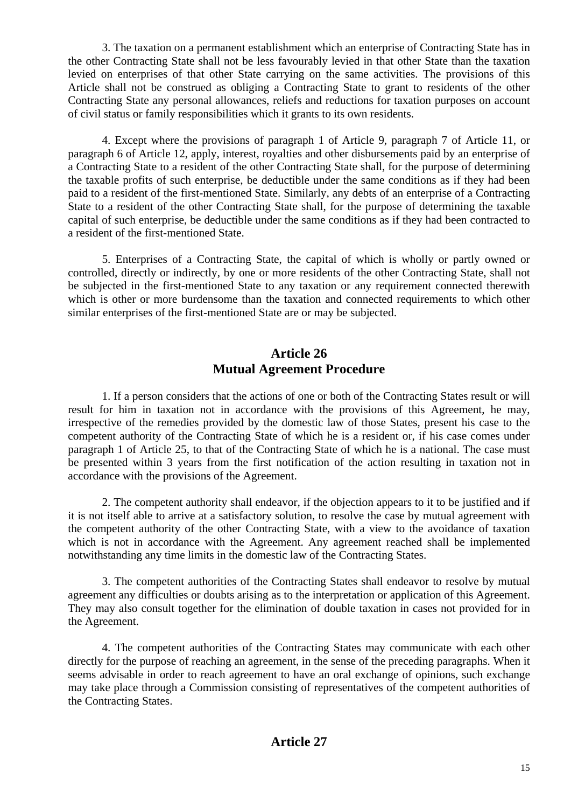3. The taxation on a permanent establishment which an enterprise of Contracting State has in the other Contracting State shall not be less favourably levied in that other State than the taxation levied on enterprises of that other State carrying on the same activities. The provisions of this Article shall not be construed as obliging a Contracting State to grant to residents of the other Contracting State any personal allowances, reliefs and reductions for taxation purposes on account of civil status or family responsibilities which it grants to its own residents.

4. Except where the provisions of paragraph 1 of Article 9, paragraph 7 of Article 11, or paragraph 6 of Article 12, apply, interest, royalties and other disbursements paid by an enterprise of a Contracting State to a resident of the other Contracting State shall, for the purpose of determining the taxable profits of such enterprise, be deductible under the same conditions as if they had been paid to a resident of the first-mentioned State. Similarly, any debts of an enterprise of a Contracting State to a resident of the other Contracting State shall, for the purpose of determining the taxable capital of such enterprise, be deductible under the same conditions as if they had been contracted to a resident of the first-mentioned State.

5. Enterprises of a Contracting State, the capital of which is wholly or partly owned or controlled, directly or indirectly, by one or more residents of the other Contracting State, shall not be subjected in the first-mentioned State to any taxation or any requirement connected therewith which is other or more burdensome than the taxation and connected requirements to which other similar enterprises of the first-mentioned State are or may be subjected.

## **Article 26 Mutual Agreement Procedure**

1. If a person considers that the actions of one or both of the Contracting States result or will result for him in taxation not in accordance with the provisions of this Agreement, he may, irrespective of the remedies provided by the domestic law of those States, present his case to the competent authority of the Contracting State of which he is a resident or, if his case comes under paragraph 1 of Article 25, to that of the Contracting State of which he is a national. The case must be presented within 3 years from the first notification of the action resulting in taxation not in accordance with the provisions of the Agreement.

2. The competent authority shall endeavor, if the objection appears to it to be justified and if it is not itself able to arrive at a satisfactory solution, to resolve the case by mutual agreement with the competent authority of the other Contracting State, with a view to the avoidance of taxation which is not in accordance with the Agreement. Any agreement reached shall be implemented notwithstanding any time limits in the domestic law of the Contracting States.

3. The competent authorities of the Contracting States shall endeavor to resolve by mutual agreement any difficulties or doubts arising as to the interpretation or application of this Agreement. They may also consult together for the elimination of double taxation in cases not provided for in the Agreement.

4. The competent authorities of the Contracting States may communicate with each other directly for the purpose of reaching an agreement, in the sense of the preceding paragraphs. When it seems advisable in order to reach agreement to have an oral exchange of opinions, such exchange may take place through a Commission consisting of representatives of the competent authorities of the Contracting States.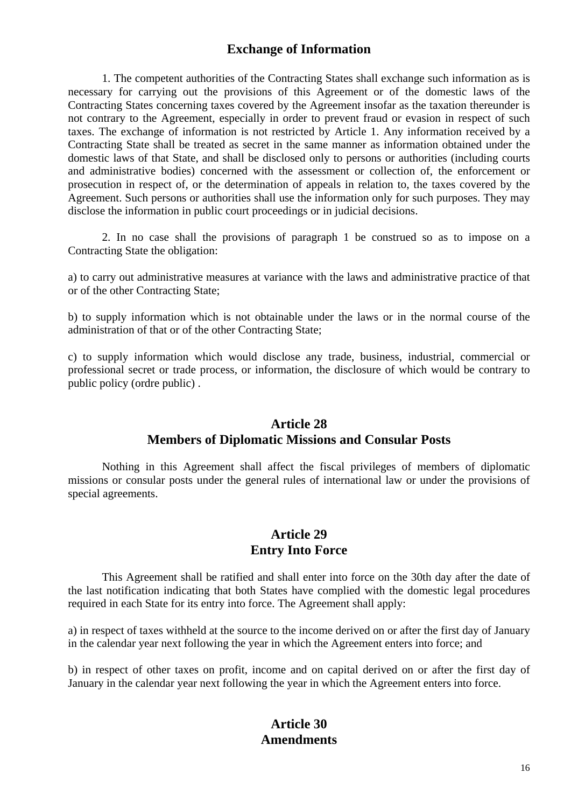# **Exchange of Information**

1. The competent authorities of the Contracting States shall exchange such information as is necessary for carrying out the provisions of this Agreement or of the domestic laws of the Contracting States concerning taxes covered by the Agreement insofar as the taxation thereunder is not contrary to the Agreement, especially in order to prevent fraud or evasion in respect of such taxes. The exchange of information is not restricted by Article 1. Any information received by a Contracting State shall be treated as secret in the same manner as information obtained under the domestic laws of that State, and shall be disclosed only to persons or authorities (including courts and administrative bodies) concerned with the assessment or collection of, the enforcement or prosecution in respect of, or the determination of appeals in relation to, the taxes covered by the Agreement. Such persons or authorities shall use the information only for such purposes. They may disclose the information in public court proceedings or in judicial decisions.

2. In no case shall the provisions of paragraph 1 be construed so as to impose on a Contracting State the obligation:

a) to carry out administrative measures at variance with the laws and administrative practice of that or of the other Contracting State;

b) to supply information which is not obtainable under the laws or in the normal course of the administration of that or of the other Contracting State;

c) to supply information which would disclose any trade, business, industrial, commercial or professional secret or trade process, or information, the disclosure of which would be contrary to public policy (ordre public) .

#### **Article 28 Members of Diplomatic Missions and Consular Posts**

Nothing in this Agreement shall affect the fiscal privileges of members of diplomatic missions or consular posts under the general rules of international law or under the provisions of special agreements.

### **Article 29 Entry Into Force**

This Agreement shall be ratified and shall enter into force on the 30th day after the date of the last notification indicating that both States have complied with the domestic legal procedures required in each State for its entry into force. The Agreement shall apply:

a) in respect of taxes withheld at the source to the income derived on or after the first day of January in the calendar year next following the year in which the Agreement enters into force; and

b) in respect of other taxes on profit, income and on capital derived on or after the first day of January in the calendar year next following the year in which the Agreement enters into force.

## **Article 30 Amendments**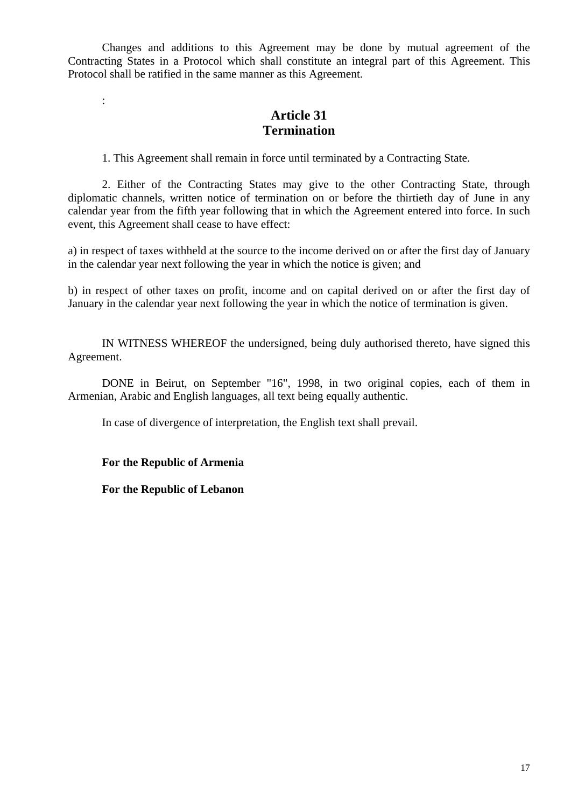Changes and additions to this Agreement may be done by mutual agreement of the Contracting States in a Protocol which shall constitute an integral part of this Agreement. This Protocol shall be ratified in the same manner as this Agreement.

# **Article 31 Termination**

1. This Agreement shall remain in force until terminated by a Contracting State.

2. Either of the Contracting States may give to the other Contracting State, through diplomatic channels, written notice of termination on or before the thirtieth day of June in any calendar year from the fifth year following that in which the Agreement entered into force. In such event, this Agreement shall cease to have effect:

a) in respect of taxes withheld at the source to the income derived on or after the first day of January in the calendar year next following the year in which the notice is given; and

b) in respect of other taxes on profit, income and on capital derived on or after the first day of January in the calendar year next following the year in which the notice of termination is given.

IN WITNESS WHEREOF the undersigned, being duly authorised thereto, have signed this Agreement.

DONE in Beirut, on September "16", 1998, in two original copies, each of them in Armenian, Arabic and English languages, all text being equally authentic.

In case of divergence of interpretation, the English text shall prevail.

**For the Republic of Armenia** 

:

**For the Republic of Lebanon**